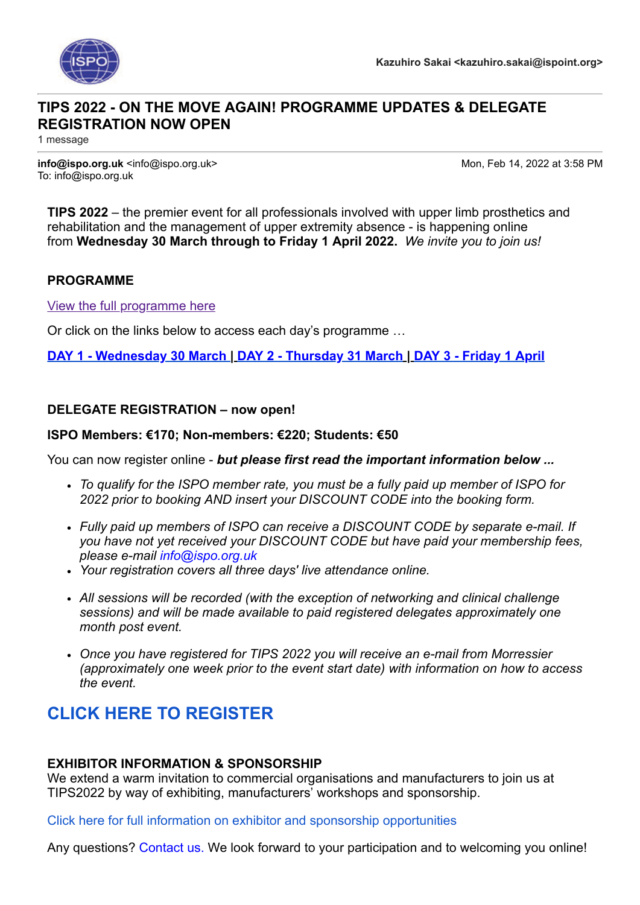

## **TIPS 2022 - ON THE MOVE AGAIN! PROGRAMME UPDATES & DELEGATE REGISTRATION NOW OPEN**

1 message

**info@ispo.org.uk** <info@ispo.org.uk> Mon, Feb 14, 2022 at 3:58 PM To: info@ispo.org.uk

**TIPS 2022** – the premier event for all professionals involved with upper limb prosthetics and rehabilitation and the management of upper extremity absence - is happening online from **Wednesday 30 March through to Friday 1 April 2022.** *We invite you to join us!*

#### **PROGRAMME**

[View the full programme here](https://www.ispo.org.uk/resources/TIPS-2022---Programme-V6a.pdf)

Or click on the links below to access each day's programme …

**[DAY 1 - Wednesday 30 March](https://www.ispo.org.uk/tips-2022---programme/) | [DAY 2 - Thursday 31 March](https://www.ispo.org.uk/tips-2022---programme-2/) | [DAY 3 - Friday 1 April](https://www.ispo.org.uk/tips-2022---programme-3/)**

### **DELEGATE REGISTRATION – now open!**

#### **ISPO Members: €170; Non-members: €220; Students: €50**

You can now register online - *but please first read the important information below ...*

- *To qualify for the ISPO member rate, you must be a fully paid up member of ISPO for 2022 prior to booking AND insert your DISCOUNT CODE into the booking form.*
- *Fully paid up members of ISPO can receive a DISCOUNT CODE by separate e-mail. If you have not yet received your DISCOUNT CODE but have paid your membership fees, please e-mail [info@ispo.org.uk](mailto:info@ispo.org.uk)*
- *Your registration covers all three days' live attendance online.*
- *All sessions will be recorded (with the exception of networking and clinical challenge sessions) and will be made available to paid registered delegates approximately one month post event.*
- *Once you have registered for TIPS 2022 you will receive an e-mail from Morressier (approximately one week prior to the event start date) with information on how to access the event.*

# **CLICK HERE TO [REGISTER](https://www.ispo.org.uk/events/6-tips2022/?action=book)**

#### **EXHIBITOR INFORMATION & SPONSORSHIP**

We extend a warm invitation to commercial organisations and manufacturers to join us at TIPS2022 by way of exhibiting, manufacturers' workshops and sponsorship.

[Click here for full information on exhibitor and sponsorship opportunities](https://www.ispo.org.uk/resources/Information-for-Exhibitors--Sponsors---TIPS-2022.pdf)

Any questions? [Contact us.](mailto:info@ispo.org.uk) We look forward to your participation and to welcoming you online!